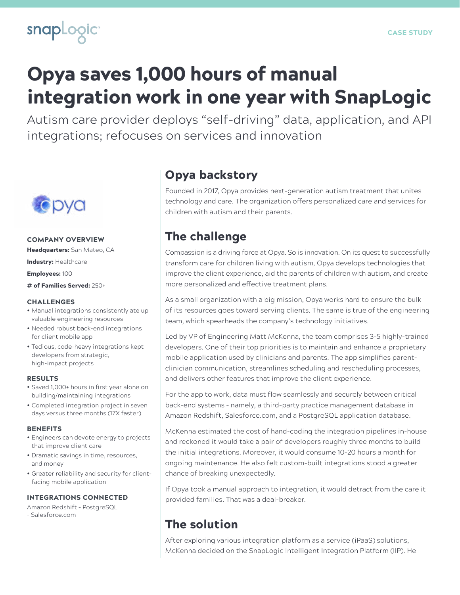

# Opya saves 1,000 hours of manual integration work in one year with SnapLogic

Autism care provider deploys "self-driving" data, application, and API integrations; refocuses on services and innovation



### COMPANY OVERVIEW

Headquarters: San Mateo, CA

Industry: Healthcare

Employees: 100

# of Families Served: 250+

#### **CHALLENGES**

- Manual integrations consistently ate up valuable engineering resources
- Needed robust back-end integrations for client mobile app
- Tedious, code-heavy integrations kept developers from strategic, high-impact projects

#### RESULTS

- Saved 1,000+ hours in first year alone on building/maintaining integrations
- Completed integration project in seven days versus three months (17X faster)

#### **BENEFITS**

- Engineers can devote energy to projects that improve client care
- Dramatic savings in time, resources, and money
- Greater reliability and security for clientfacing mobile application

#### INTEGRATIONS CONNECTED

- Amazon Redshift PostgreSQL
- Salesforce.com

### Opya backstory

Founded in 2017, Opya provides next-generation autism treatment that unites technology and care. The organization offers personalized care and services for children with autism and their parents.

### The challenge

Compassion is a driving force at Opya. So is innovation. On its quest to successfully transform care for children living with autism, Opya develops technologies that improve the client experience, aid the parents of children with autism, and create more personalized and effective treatment plans.

As a small organization with a big mission, Opya works hard to ensure the bulk of its resources goes toward serving clients. The same is true of the engineering team, which spearheads the company's technology initiatives.

Led by VP of Engineering Matt McKenna, the team comprises 3-5 highly-trained developers. One of their top priorities is to maintain and enhance a proprietary mobile application used by clinicians and parents. The app simplifies parentclinician communication, streamlines scheduling and rescheduling processes, and delivers other features that improve the client experience.

For the app to work, data must flow seamlessly and securely between critical back-end systems – namely, a third-party practice management database in Amazon Redshift, Salesforce.com, and a PostgreSQL application database.

McKenna estimated the cost of hand-coding the integration pipelines in-house and reckoned it would take a pair of developers roughly three months to build the initial integrations. Moreover, it would consume 10-20 hours a month for ongoing maintenance. He also felt custom-built integrations stood a greater chance of breaking unexpectedly.

If Opya took a manual approach to integration, it would detract from the care it provided families. That was a deal-breaker.

### The solution

After exploring various integration platform as a service (iPaaS) solutions, McKenna decided on the SnapLogic Intelligent Integration Platform (IIP). He